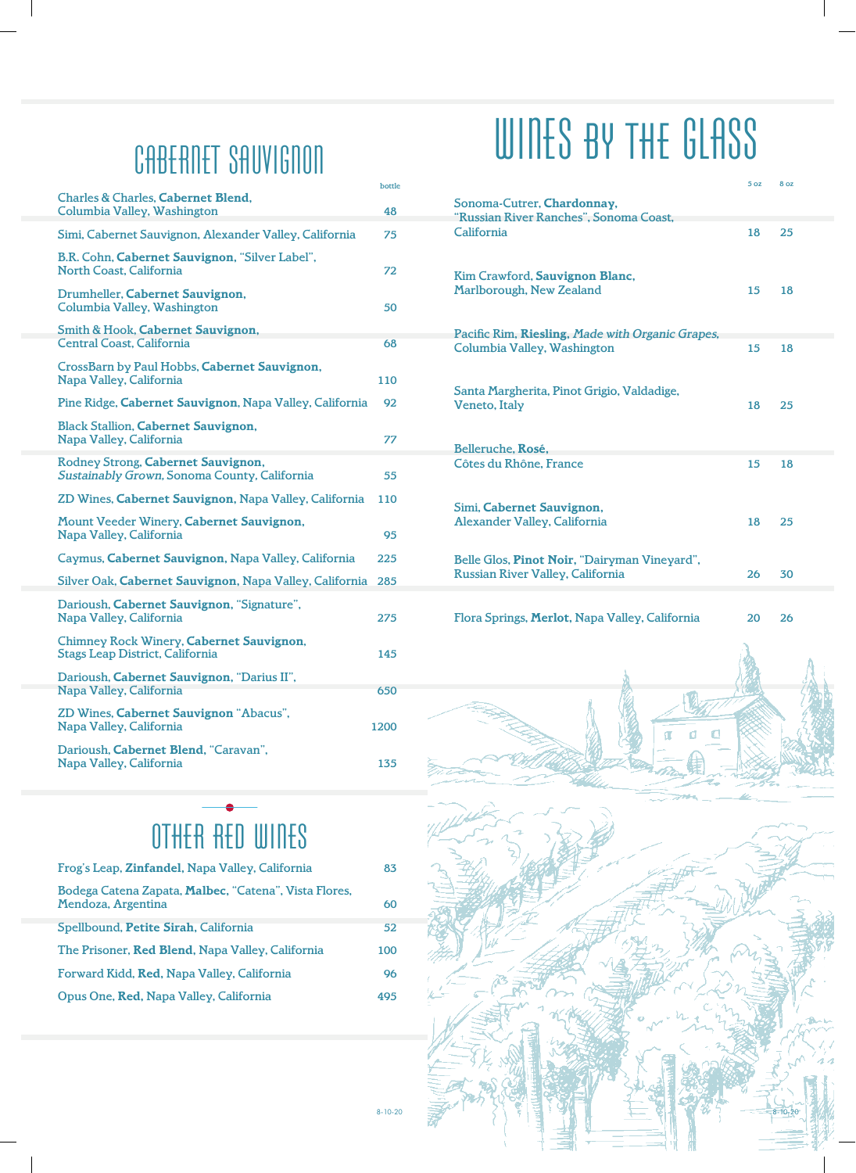### CABERNET SAUVIGNON CABERNET SAUVIGNON

| <b>Charles &amp; Charles, Cabernet Blend,</b><br>Columbia Valley, Washington       | bottle<br>48 |
|------------------------------------------------------------------------------------|--------------|
| Simi, Cabernet Sauvignon, Alexander Valley, California                             | 75           |
| B.R. Cohn, Cabernet Sauvignon, "Silver Label",<br><b>North Coast, California</b>   | 72           |
| Drumheller, Cabernet Sauvignon,<br>Columbia Valley, Washington                     | 50           |
| Smith & Hook, Cabernet Sauvignon,<br><b>Central Coast, California</b>              | 68           |
| CrossBarn by Paul Hobbs, Cabernet Sauvignon,<br>Napa Valley, California            | 110          |
| Pine Ridge, Cabernet Sauvignon, Napa Valley, California                            | 92           |
| <b>Black Stallion, Cabernet Sauvignon,</b><br>Napa Valley, California              | 77           |
| Rodney Strong, Cabernet Sauvignon,<br>Sustainably Grown, Sonoma County, California | 55           |
| ZD Wines, Cabernet Sauvignon, Napa Valley, California                              | 110          |
| Mount Veeder Winery, Cabernet Sauvignon,<br>Napa Valley, California                | 95           |
| Caymus, Cabernet Sauvignon, Napa Valley, California                                | 225          |
| Silver Oak, Cabernet Sauvignon, Napa Valley, California                            | 285          |
| Darioush, Cabernet Sauvignon, "Signature",<br>Napa Valley, California              | 275          |
| Chimney Rock Winery, Cabernet Sauvignon,<br><b>Stags Leap District, California</b> | 145          |
| Darioush, Cabernet Sauvignon, "Darius II",                                         |              |
| Napa Valley, California                                                            | 650          |
| ZD Wines, Cabernet Sauvignon "Abacus",<br>Napa Valley, California                  | 1200         |
| Darioush, Cabernet Blend, "Caravan",<br>Napa Valley, California                    | 135          |

#### Sonoma-Cutrer, **Chardonnay,** Sonoma-Cutrer, **Chardonnay,** "Russian River Ranches", Sonoma Coast, Sonoma-Cutrer, **Chardonnay,** "Russian River Ranches", Sonoma Coast, California 18 25 "Russian River Ranches", Sonoma Coast, California 16 19 WIIIED BY THE DEHOD

| Kim Crawford, Sauvignon Blanc,<br><b>Marlborough, New Zealand</b> | 15 | 18 |
|-------------------------------------------------------------------|----|----|
| Pacific Rim, Riesling, Made with Organic Grapes,                  |    |    |
| Columbia Valley, Washington                                       | 15 | 18 |
| Santa Margherita, Pinot Grigio, Valdadige,<br>Veneto, Italy       | 18 | 25 |
| Belleruche, Rosé,                                                 |    |    |
| Côtes du Rhône, France                                            | 15 | 18 |
| Simi, Cabernet Sauvignon,<br><b>Alexander Valley, California</b>  | 18 | 25 |
| Belle Glos, Pinot Noir, "Dairyman Vineyard",                      |    |    |
| Russian River Valley, California                                  | 26 | 30 |
|                                                                   |    |    |

WIIIES BY THE GLHSS

WIIIES BY THE GLHSS

Flora Springs, **Merlot,** Napa Valley, California 20 26 Flora Springs, **Merlot,** Napa Valley, California 16 19 Flora Springs, **Merlot,** Napa Valley, California 16 19

 $5<sub>oz</sub>$ 

 $52$  8 oz

| Frog's Leap, Zinfandel, Napa Valley, California                             | 83  |
|-----------------------------------------------------------------------------|-----|
| Bodega Catena Zapata, Malbec, "Catena", Vista Flores,<br>Mendoza, Argentina | 60  |
| Spellbound, Petite Sirah, California                                        | 52  |
| The Prisoner, Red Blend, Napa Valley, California                            | 100 |
| Forward Kidd, Red, Napa Valley, California                                  | 96  |
| Opus One, Red, Napa Valley, California                                      | 495 |

#### other red wines other red wines